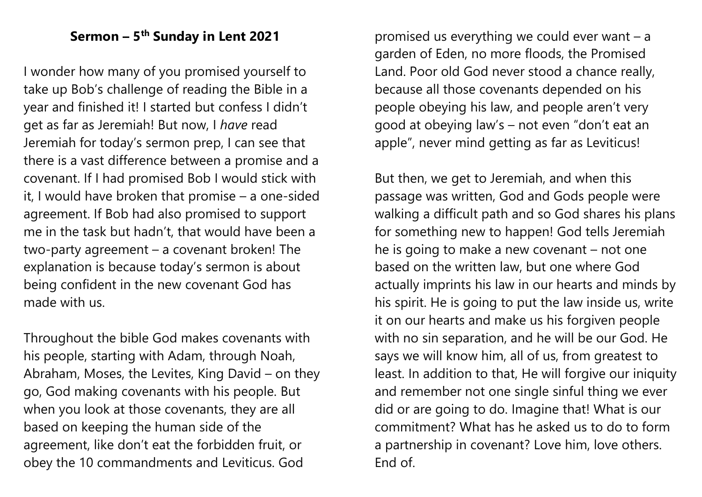## **Sermon – 5 th Sunday in Lent 2021**

I wonder how many of you promised yourself to take up Bob's challenge of reading the Bible in a year and finished it! I started but confess I didn't get as far as Jeremiah! But now, I *have* read Jeremiah for today's sermon prep, I can see that there is a vast difference between a promise and a covenant. If I had promised Bob I would stick with it, I would have broken that promise – a one-sided agreement. If Bob had also promised to support me in the task but hadn't, that would have been a two-party agreement – a covenant broken! The explanation is because today's sermon is about being confident in the new covenant God has made with us.

Throughout the bible God makes covenants with his people, starting with Adam, through Noah, Abraham, Moses, the Levites, King David – on they go, God making covenants with his people. But when you look at those covenants, they are all based on keeping the human side of the agreement, like don't eat the forbidden fruit, or obey the 10 commandments and Leviticus. God

promised us everything we could ever want – a garden of Eden, no more floods, the Promised Land. Poor old God never stood a chance really, because all those covenants depended on his people obeying his law, and people aren't very good at obeying law's – not even "don't eat an apple", never mind getting as far as Leviticus!

But then, we get to Jeremiah, and when this passage was written, God and Gods people were walking a difficult path and so God shares his plans for something new to happen! God tells Jeremiah he is going to make a new covenant – not one based on the written law, but one where God actually imprints his law in our hearts and minds by his spirit. He is going to put the law inside us, write it on our hearts and make us his forgiven people with no sin separation, and he will be our God. He says we will know him, all of us, from greatest to least. In addition to that, He will forgive our iniquity and remember not one single sinful thing we ever did or are going to do. Imagine that! What is our commitment? What has he asked us to do to form a partnership in covenant? Love him, love others. End of.